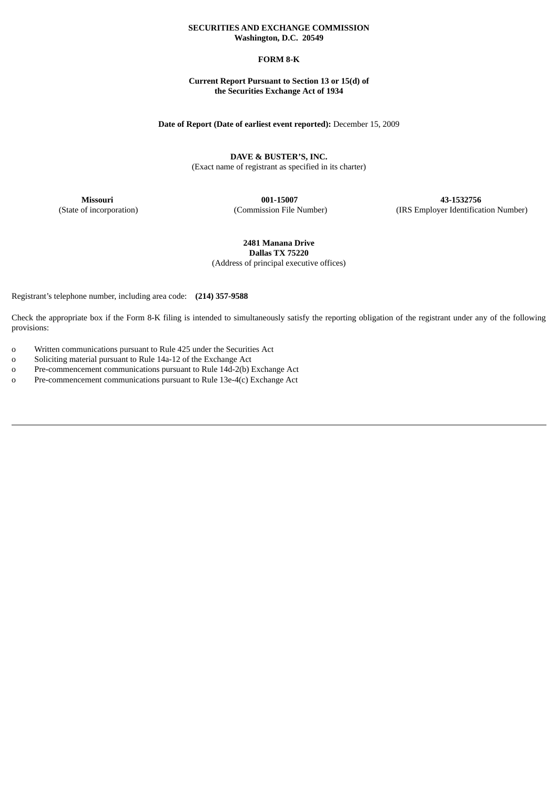# **SECURITIES AND EXCHANGE COMMISSION Washington, D.C. 20549**

# **FORM 8-K**

# **Current Report Pursuant to Section 13 or 15(d) of the Securities Exchange Act of 1934**

# **Date of Report (Date of earliest event reported):** December 15, 2009

**DAVE & BUSTER'S, INC.** (Exact name of registrant as specified in its charter)

**Missouri 001-15007 43-1532756**

(State of incorporation) (Commission File Number) (IRS Employer Identification Number)

**2481 Manana Drive Dallas TX 75220** (Address of principal executive offices)

Registrant's telephone number, including area code: **(214) 357-9588**

Check the appropriate box if the Form 8-K filing is intended to simultaneously satisfy the reporting obligation of the registrant under any of the following provisions:

o Written communications pursuant to Rule 425 under the Securities Act

o Soliciting material pursuant to Rule 14a-12 of the Exchange Act

o Pre-commencement communications pursuant to Rule 14d-2(b) Exchange Act

o Pre-commencement communications pursuant to Rule 13e-4(c) Exchange Act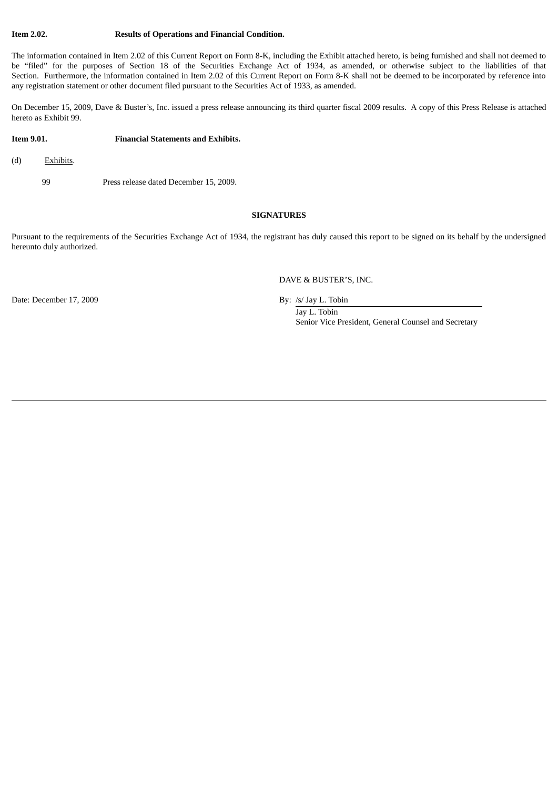### **Item 2.02. Results of Operations and Financial Condition.**

The information contained in Item 2.02 of this Current Report on Form 8-K, including the Exhibit attached hereto, is being furnished and shall not deemed to be "filed" for the purposes of Section 18 of the Securities Exchange Act of 1934, as amended, or otherwise subject to the liabilities of that Section. Furthermore, the information contained in Item 2.02 of this Current Report on Form 8-K shall not be deemed to be incorporated by reference into any registration statement or other document filed pursuant to the Securities Act of 1933, as amended.

On December 15, 2009, Dave & Buster's, Inc. issued a press release announcing its third quarter fiscal 2009 results. A copy of this Press Release is attached hereto as Exhibit 99.

### **Item 9.01. Financial Statements and Exhibits.**

- (d) Exhibits.
	- 99 Press release dated December 15, 2009.

### **SIGNATURES**

Pursuant to the requirements of the Securities Exchange Act of 1934, the registrant has duly caused this report to be signed on its behalf by the undersigned hereunto duly authorized.

DAVE & BUSTER'S, INC.

Date: December 17, 2009 By: /s/ Jay L. Tobin

Jay L. Tobin Senior Vice President, General Counsel and Secretary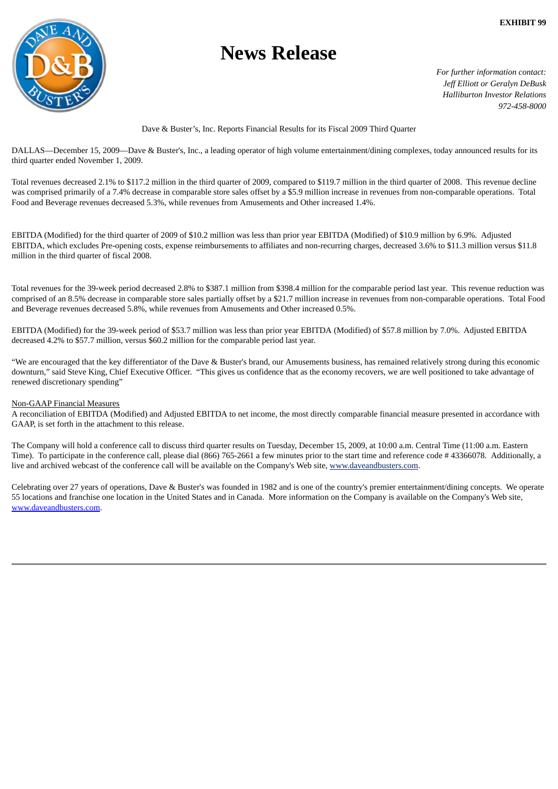

# **News Release**

*For further information contact: Jeff Elliott or Geralyn DeBusk Halliburton Investor Relations 972-458-8000*

# Dave & Buster's, Inc. Reports Financial Results for its Fiscal 2009 Third Quarter

DALLAS—December 15, 2009—Dave & Buster's, Inc., a leading operator of high volume entertainment/dining complexes, today announced results for its third quarter ended November 1, 2009.

Total revenues decreased 2.1% to \$117.2 million in the third quarter of 2009, compared to \$119.7 million in the third quarter of 2008. This revenue decline was comprised primarily of a 7.4% decrease in comparable store sales offset by a \$5.9 million increase in revenues from non-comparable operations. Total Food and Beverage revenues decreased 5.3%, while revenues from Amusements and Other increased 1.4%.

EBITDA (Modified) for the third quarter of 2009 of \$10.2 million was less than prior year EBITDA (Modified) of \$10.9 million by 6.9%. Adjusted EBITDA, which excludes Pre-opening costs, expense reimbursements to affiliates and non-recurring charges, decreased 3.6% to \$11.3 million versus \$11.8 million in the third quarter of fiscal 2008.

Total revenues for the 39-week period decreased 2.8% to \$387.1 million from \$398.4 million for the comparable period last year. This revenue reduction was comprised of an 8.5% decrease in comparable store sales partially offset by a \$21.7 million increase in revenues from non-comparable operations. Total Food and Beverage revenues decreased 5.8%, while revenues from Amusements and Other increased 0.5%.

EBITDA (Modified) for the 39-week period of \$53.7 million was less than prior year EBITDA (Modified) of \$57.8 million by 7.0%. Adjusted EBITDA decreased 4.2% to \$57.7 million, versus \$60.2 million for the comparable period last year.

"We are encouraged that the key differentiator of the Dave & Buster's brand, our Amusements business, has remained relatively strong during this economic downturn," said Steve King, Chief Executive Officer. "This gives us confidence that as the economy recovers, we are well positioned to take advantage of renewed discretionary spending"

# Non-GAAP Financial Measures

A reconciliation of EBITDA (Modified) and Adjusted EBITDA to net income, the most directly comparable financial measure presented in accordance with GAAP, is set forth in the attachment to this release.

The Company will hold a conference call to discuss third quarter results on Tuesday, December 15, 2009, at 10:00 a.m. Central Time (11:00 a.m. Eastern Time). To participate in the conference call, please dial (866) 765-2661 a few minutes prior to the start time and reference code # 43366078. Additionally, a live and archived webcast of the conference call will be available on the Company's Web site, www.daveandbusters.com.

Celebrating over 27 years of operations, Dave & Buster's was founded in 1982 and is one of the country's premier entertainment/dining concepts. We operate 55 locations and franchise one location in the United States and in Canada. More information on the Company is available on the Company's Web site, www.daveandbusters.com.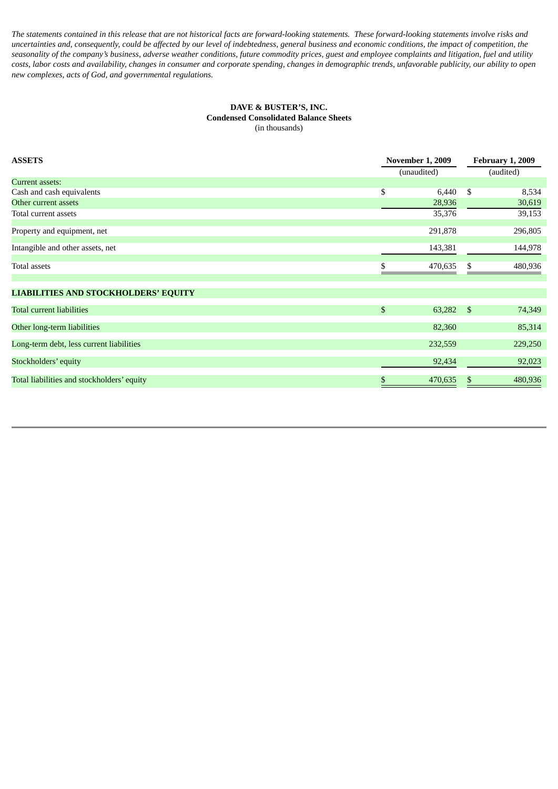The statements contained in this release that are not historical facts are forward-looking statements. These forward-looking statements involve risks and uncertainties and, consequently, could be affected by our level of indebtedness, general business and economic conditions, the impact of competition, the seasonality of the company's business, adverse weather conditions, future commodity prices, guest and employee complaints and litigation, fuel and utility costs, labor costs and availability, changes in consumer and corporate spending, changes in demographic trends, unfavorable publicity, our ability to open *new complexes, acts of God, and governmental regulations.*

# **DAVE & BUSTER'S, INC. Condensed Consolidated Balance Sheets** (in thousands)

| <b>ASSETS</b>                               | <b>November 1, 2009</b><br>(unaudited) |         | <b>February 1, 2009</b><br>(audited) |         |
|---------------------------------------------|----------------------------------------|---------|--------------------------------------|---------|
| Current assets:                             |                                        |         |                                      |         |
| Cash and cash equivalents                   | \$                                     | 6,440   | \$                                   | 8,534   |
| Other current assets                        |                                        | 28,936  |                                      | 30,619  |
| Total current assets                        |                                        | 35,376  |                                      | 39,153  |
| Property and equipment, net                 |                                        | 291,878 |                                      | 296,805 |
| Intangible and other assets, net            |                                        | 143,381 |                                      | 144,978 |
| Total assets                                |                                        | 470,635 | S                                    | 480,936 |
| <b>LIABILITIES AND STOCKHOLDERS' EQUITY</b> |                                        |         |                                      |         |
| <b>Total current liabilities</b>            | $\mathfrak{S}$                         | 63,282  | -\$                                  | 74,349  |
| Other long-term liabilities                 |                                        | 82,360  |                                      | 85,314  |
| Long-term debt, less current liabilities    |                                        | 232,559 |                                      | 229,250 |
| Stockholders' equity                        |                                        | 92,434  |                                      | 92,023  |
| Total liabilities and stockholders' equity  | S                                      | 470,635 | Ъ                                    | 480,936 |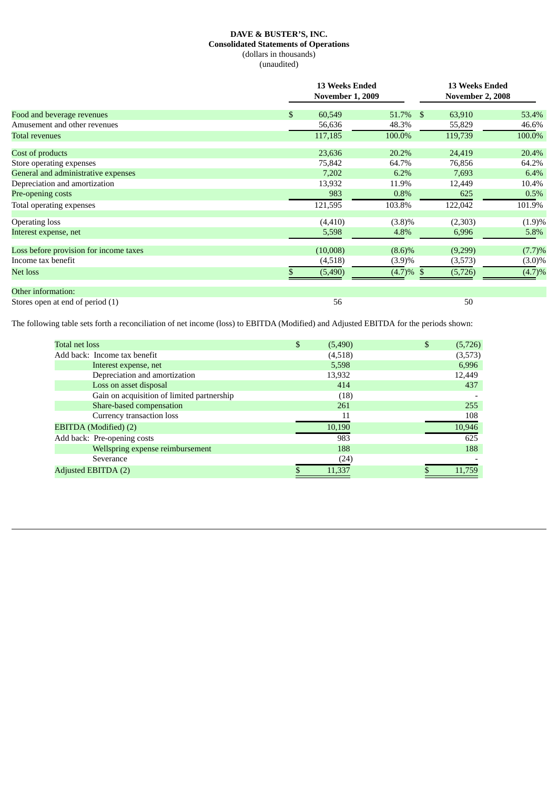# **DAVE & BUSTER'S, INC. Consolidated Statements of Operations** (dollars in thousands) (unaudited)

|                                        | <b>13 Weeks Ended</b><br><b>November 1, 2009</b> |              |                        | <b>13 Weeks Ended</b><br><b>November 2, 2008</b> |  |  |
|----------------------------------------|--------------------------------------------------|--------------|------------------------|--------------------------------------------------|--|--|
| Food and beverage revenues             | \$<br>60,549                                     | 51.7%        | $\mathbb{S}$<br>63,910 | 53.4%                                            |  |  |
| Amusement and other revenues           | 56,636                                           | 48.3%        | 55,829                 | 46.6%                                            |  |  |
| <b>Total revenues</b>                  | 117,185                                          | 100.0%       | 119,739                | 100.0%                                           |  |  |
| Cost of products                       | 23,636                                           | 20.2%        | 24,419                 | 20.4%                                            |  |  |
| Store operating expenses               | 75,842                                           | 64.7%        | 76,856                 | 64.2%                                            |  |  |
| General and administrative expenses    | 7,202                                            | 6.2%         | 7,693                  | 6.4%                                             |  |  |
| Depreciation and amortization          | 13,932                                           | 11.9%        | 12,449                 | 10.4%                                            |  |  |
| Pre-opening costs                      | 983                                              | 0.8%         | 625                    | 0.5%                                             |  |  |
| Total operating expenses               | 121,595                                          | 103.8%       | 122,042                | 101.9%                                           |  |  |
| <b>Operating loss</b>                  | (4, 410)                                         | $(3.8)\%$    | (2,303)                | (1.9)%                                           |  |  |
| Interest expense, net                  | 5,598                                            | 4.8%         | 6,996                  | 5.8%                                             |  |  |
| Loss before provision for income taxes | (10,008)                                         | $(8.6)\%$    | (9,299)                | (7.7)%                                           |  |  |
| Income tax benefit                     | (4,518)                                          | (3.9)%       | (3,573)                | $(3.0)\%$                                        |  |  |
| Net loss                               | (5,490)                                          | $(4.7)\%$ \$ | (5,726)                | (4.7)%                                           |  |  |
| Other information:                     |                                                  |              |                        |                                                  |  |  |
| Stores open at end of period (1)       | 56                                               |              | 50                     |                                                  |  |  |

The following table sets forth a reconciliation of net income (loss) to EBITDA (Modified) and Adjusted EBITDA for the periods shown:

| <b>Total net loss</b>                      | \$<br>(5,490) | \$<br>(5, 726) |
|--------------------------------------------|---------------|----------------|
| Add back: Income tax benefit               | (4,518)       | (3,573)        |
| Interest expense, net                      | 5,598         | 6,996          |
| Depreciation and amortization              | 13,932        | 12,449         |
| Loss on asset disposal                     | 414           | 437            |
| Gain on acquisition of limited partnership | (18)          |                |
| Share-based compensation                   | 261           | 255            |
| Currency transaction loss                  | 11            | 108            |
| EBITDA (Modified) (2)                      | 10,190        | 10,946         |
| Add back: Pre-opening costs                | 983           | 625            |
| Wellspring expense reimbursement           | 188           | 188            |
| Severance                                  | (24)          |                |
| Adjusted EBITDA (2)                        | 11,337        | 11,759         |
|                                            |               |                |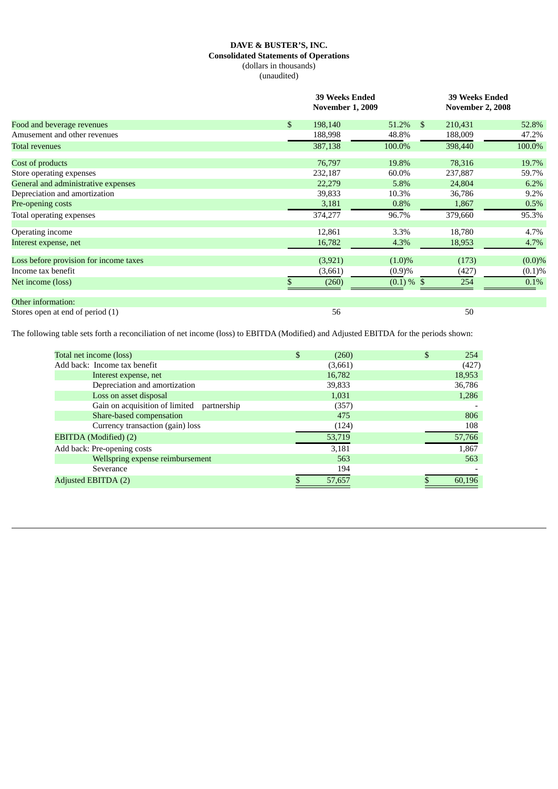# **DAVE & BUSTER'S, INC. Consolidated Statements of Operations** (dollars in thousands) (unaudited)

| Food and beverage revenues             | <b>39 Weeks Ended</b><br><b>November 1, 2009</b> |               | <b>39 Weeks Ended</b><br><b>November 2, 2008</b> |           |  |
|----------------------------------------|--------------------------------------------------|---------------|--------------------------------------------------|-----------|--|
|                                        | \$<br>198,140                                    | 51.2%<br>S.   | 210,431                                          | 52.8%     |  |
| Amusement and other revenues           | 188,998                                          | 48.8%         | 188,009                                          | 47.2%     |  |
| <b>Total revenues</b>                  | 387,138                                          | 100.0%        | 398,440                                          | 100.0%    |  |
| Cost of products                       | 76,797                                           | 19.8%         | 78,316                                           | 19.7%     |  |
| Store operating expenses               | 232,187                                          | 60.0%         | 237,887                                          | 59.7%     |  |
| General and administrative expenses    | 22,279                                           | 5.8%          | 24,804                                           | 6.2%      |  |
| Depreciation and amortization          | 39,833                                           | 10.3%         | 36,786                                           | 9.2%      |  |
| Pre-opening costs                      | 3,181                                            | 0.8%          | 1,867                                            | 0.5%      |  |
| Total operating expenses               | 374,277                                          | 96.7%         | 379,660                                          | 95.3%     |  |
| Operating income                       | 12,861                                           | 3.3%          | 18,780                                           | 4.7%      |  |
| Interest expense, net                  | 16,782                                           | 4.3%          | 18,953                                           | 4.7%      |  |
| Loss before provision for income taxes | (3, 921)                                         | $(1.0)\%$     | (173)                                            | $(0.0)\%$ |  |
| Income tax benefit                     | (3,661)                                          | (0.9)%        | (427)                                            | (0.1)%    |  |
| Net income (loss)                      | (260)                                            | $(0.1) \%$ \$ | 254                                              | 0.1%      |  |
| Other information:                     |                                                  |               |                                                  |           |  |
| Stores open at end of period (1)       | 56                                               |               | 50                                               |           |  |

The following table sets forth a reconciliation of net income (loss) to EBITDA (Modified) and Adjusted EBITDA for the periods shown:

| Total net income (loss)                       | \$<br>(260) | 254    |
|-----------------------------------------------|-------------|--------|
| Add back: Income tax benefit                  | (3,661)     | (427)  |
| Interest expense, net                         | 16,782      | 18,953 |
| Depreciation and amortization                 | 39,833      | 36,786 |
| Loss on asset disposal                        | 1,031       | 1,286  |
| Gain on acquisition of limited<br>partnership | (357)       |        |
| Share-based compensation                      | 475         | 806    |
| Currency transaction (gain) loss              | (124)       | 108    |
| <b>EBITDA</b> (Modified) (2)                  | 53,719      | 57,766 |
| Add back: Pre-opening costs                   | 3,181       | 1,867  |
| Wellspring expense reimbursement              | 563         | 563    |
| Severance                                     | 194         |        |
| Adjusted EBITDA (2)                           | 57,657      | 60.196 |
|                                               |             |        |